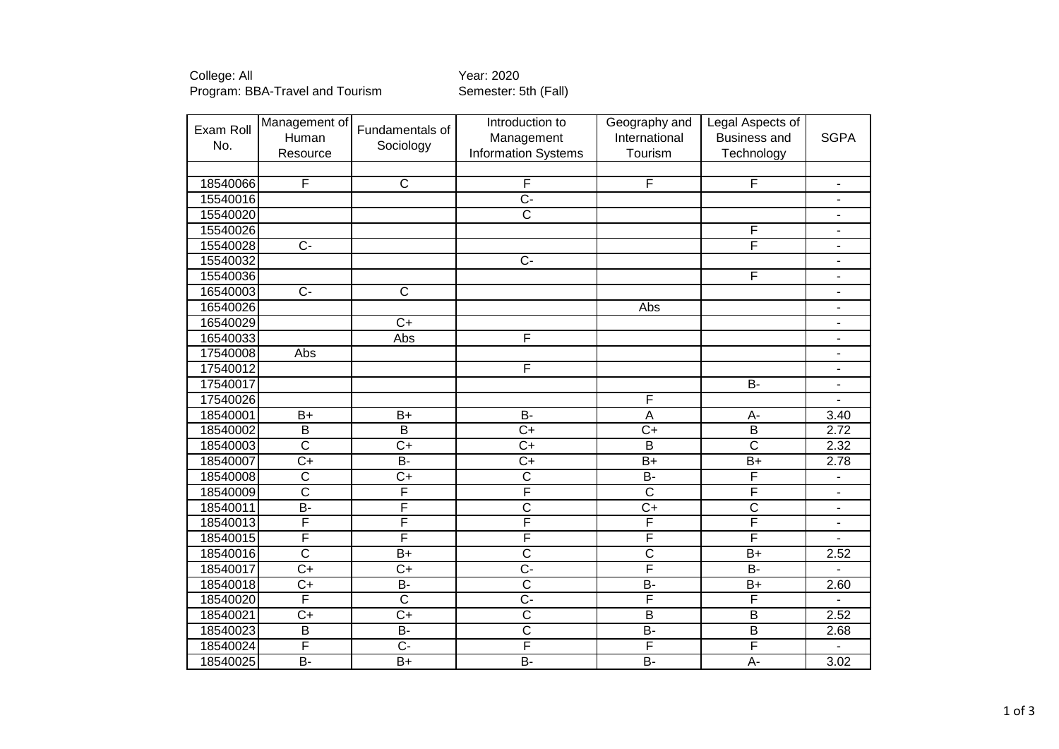College: All Year: 2020 Program: BBA-Travel and Tourism Semester: 5th (Fall)

| Exam Roll | Management of           | Fundamentals of       | Introduction to            | Geography and           | Legal Aspects of        |                          |
|-----------|-------------------------|-----------------------|----------------------------|-------------------------|-------------------------|--------------------------|
| No.       | Human                   | Sociology             | Management                 | International           | <b>Business and</b>     | <b>SGPA</b>              |
|           | Resource                |                       | <b>Information Systems</b> | Tourism                 | Technology              |                          |
|           |                         |                       |                            |                         |                         |                          |
| 18540066  | F                       | $\overline{C}$        | F                          | F                       | F                       | $\blacksquare$           |
| 15540016  |                         |                       | $\overline{C}$ -           |                         |                         | $\overline{\phantom{a}}$ |
| 15540020  |                         |                       | $\overline{\text{c}}$      |                         |                         | $\overline{\phantom{a}}$ |
| 15540026  |                         |                       |                            |                         | F                       | $\overline{\phantom{0}}$ |
| 15540028  | $\overline{C}$          |                       |                            |                         | F                       | $\blacksquare$           |
| 15540032  |                         |                       | $\overline{C}$             |                         |                         | $\overline{\phantom{a}}$ |
| 15540036  |                         |                       |                            |                         | $\overline{\mathsf{F}}$ | $\overline{\phantom{a}}$ |
| 16540003  | $\overline{C}$          | $\overline{\text{c}}$ |                            |                         |                         | $\blacksquare$           |
| 16540026  |                         |                       |                            | Abs                     |                         | $\overline{\phantom{a}}$ |
| 16540029  |                         | $\overline{C+}$       |                            |                         |                         | $\overline{\phantom{a}}$ |
| 16540033  |                         | <b>Abs</b>            | F                          |                         |                         | $\overline{\phantom{a}}$ |
| 17540008  | Abs                     |                       |                            |                         |                         | $\overline{\phantom{a}}$ |
| 17540012  |                         |                       | F                          |                         |                         | $\blacksquare$           |
| 17540017  |                         |                       |                            |                         | B-                      | $\overline{\phantom{a}}$ |
| 17540026  |                         |                       |                            | $\overline{F}$          |                         | $\blacksquare$           |
| 18540001  | $B+$                    | $B+$                  | $B -$                      | A                       | A-                      | 3.40                     |
| 18540002  | $\overline{\mathsf{B}}$ | $\overline{B}$        | $\overline{C+}$            | $\overline{C+}$         | $\overline{B}$          | 2.72                     |
| 18540003  | $\overline{\text{c}}$   | $C+$                  | $\overline{C}$             | $\overline{B}$          | $\overline{\text{c}}$   | 2.32                     |
| 18540007  | $C+$                    | $B -$                 | $\overline{C}$             | $B+$                    | $B+$                    | 2.78                     |
| 18540008  | $\overline{\text{c}}$   | $\overline{C+}$       | $\overline{\text{c}}$      | $B -$                   | F                       | $\blacksquare$           |
| 18540009  | $\overline{\text{c}}$   | F                     | F                          | $\overline{\text{c}}$   | F                       | $\overline{\phantom{a}}$ |
| 18540011  | $\overline{B}$          | F                     | $\overline{\text{c}}$      | $\overline{C+}$         | $\overline{C}$          | $\overline{\phantom{a}}$ |
| 18540013  | F                       | F                     | F                          | F                       | $\overline{\mathsf{F}}$ | $\blacksquare$           |
| 18540015  | F                       | F                     | $\overline{\mathsf{F}}$    | $\overline{\mathsf{F}}$ | F                       | $\overline{\phantom{a}}$ |
| 18540016  | $\overline{\text{c}}$   | $B+$                  | $\overline{\text{c}}$      | $\overline{\text{c}}$   | $B+$                    | 2.52                     |
| 18540017  | $\overline{C+}$         | $\overline{C+}$       | $\overline{C}$ -           | F                       | $\overline{B}$ -        | $\overline{\phantom{0}}$ |
| 18540018  | $C+$                    | <b>B-</b>             | $\overline{\text{c}}$      | B-                      | $B+$                    | 2.60                     |
| 18540020  | F                       | $\overline{\text{c}}$ | $\overline{C}$             | F                       | F                       | ÷.                       |
| 18540021  | $\overline{C+}$         | $\overline{C+}$       | $\overline{\text{c}}$      | $\overline{B}$          | $\overline{\mathsf{B}}$ | 2.52                     |
| 18540023  | $\overline{B}$          | $B -$                 | $\overline{\text{c}}$      | $\overline{B}$          | $\overline{B}$          | 2.68                     |
| 18540024  | F                       | $\overline{C}$        | F                          | F                       | F                       |                          |
| 18540025  | $B -$                   | $\overline{B+}$       | $\overline{B}$ -           | $B -$                   | $A -$                   | 3.02                     |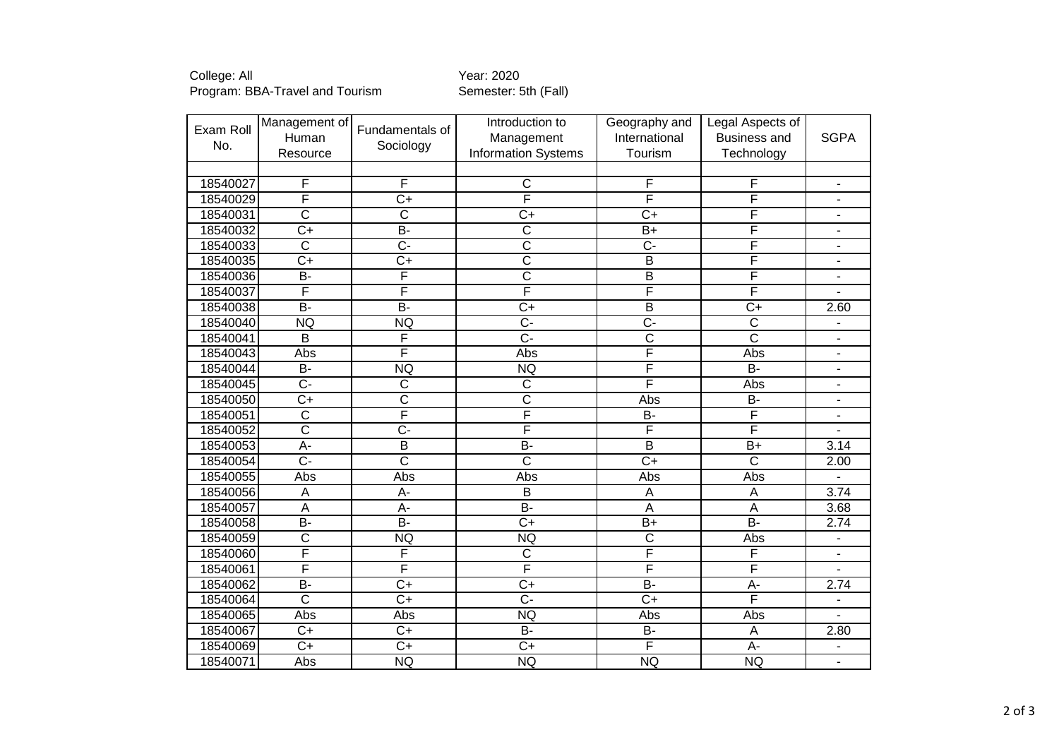College: All Year: 2020 Program: BBA-Travel and Tourism Semester: 5th (Fall)

| Exam Roll | Management of           | Fundamentals of         | Introduction to            | Geography and           | Legal Aspects of          |                          |
|-----------|-------------------------|-------------------------|----------------------------|-------------------------|---------------------------|--------------------------|
| No.       | Human                   |                         | Management                 | International           | <b>Business and</b>       | <b>SGPA</b>              |
|           | Resource                | Sociology               | <b>Information Systems</b> | Tourism                 | Technology                |                          |
|           |                         |                         |                            |                         |                           |                          |
| 18540027  | F                       | F                       | $\mathsf{C}$               | F                       | F                         | $\blacksquare$           |
| 18540029  | F                       | $\overline{C+}$         | F                          | F                       | F                         | $\overline{\phantom{a}}$ |
| 18540031  | $\overline{\text{c}}$   | $\overline{C}$          | $C+$                       | $C+$                    | F                         | $\overline{\phantom{a}}$ |
| 18540032  | $C+$                    | $\overline{B}$          | $\overline{C}$             | $B+$                    | F                         | $\overline{\phantom{a}}$ |
| 18540033  | $\overline{\text{c}}$   | $\overline{C}$          | $\overline{\text{c}}$      | $\overline{C}$          | F                         | $\blacksquare$           |
| 18540035  | $\overline{C}$          | $\overline{C+}$         | $\overline{\text{c}}$      | B                       | $\overline{\mathsf{F}}$   | $\overline{\phantom{a}}$ |
| 18540036  | $\overline{B}$          | F                       | $\overline{\text{c}}$      | $\overline{B}$          | F                         | $\overline{\phantom{a}}$ |
| 18540037  | F                       | F                       | F                          | F                       | F                         |                          |
| 18540038  | $\overline{B}$          | $\overline{B}$          | $\overline{C+}$            | $\overline{B}$          | $\overline{C+}$           | 2.60                     |
| 18540040  | <b>NQ</b>               | <b>NQ</b>               | $\overline{C}$             | $\overline{C}$          | $\overline{\mathsf{C}}$   | $\overline{\phantom{a}}$ |
| 18540041  | $\overline{\mathsf{B}}$ | F                       | $\overline{C}$ -           | $\overline{\text{c}}$   | $\overline{\mathsf{c}}$   | $\overline{\phantom{0}}$ |
| 18540043  | Abs                     | F                       | Abs                        | $\overline{\mathsf{F}}$ | Abs                       | $\blacksquare$           |
| 18540044  | <b>B-</b>               | <b>NQ</b>               | <b>NQ</b>                  | $\overline{\mathsf{F}}$ | $\overline{B}$            | $\overline{\phantom{a}}$ |
| 18540045  | Ċ-                      | $\overline{C}$          | $\overline{C}$             | F                       | Abs                       | $\overline{\phantom{a}}$ |
| 18540050  | $\overline{C}$          | $\overline{\text{c}}$   | $\overline{\text{c}}$      | Abs                     | $\overline{B}$            | $\overline{\phantom{a}}$ |
| 18540051  | $\overline{\text{c}}$   | $\overline{\mathsf{F}}$ | F                          | <b>B-</b>               | F                         | $\overline{\phantom{0}}$ |
| 18540052  | $\overline{\text{c}}$   | $\overline{C}$ -        | F                          | F                       | F                         | $\blacksquare$           |
| 18540053  | $\overline{A}$ -        | $\overline{\mathsf{B}}$ | $\overline{B}$             | $\overline{B}$          | $\overline{B+}$           | 3.14                     |
| 18540054  | $\overline{C}$          | $\overline{\mathsf{c}}$ | $\overline{\text{c}}$      | $\overline{C+}$         | $\overline{\mathsf{c}}$   | 2.00                     |
| 18540055  | Abs                     | Abs                     | Abs                        | Abs                     | Abs                       |                          |
| 18540056  | A                       | A-                      | B                          | A                       | $\boldsymbol{\mathsf{A}}$ | 3.74                     |
| 18540057  | $\overline{A}$          | $\overline{A}$ -        | $\overline{B}$             | $\overline{A}$          | $\overline{A}$            | 3.68                     |
| 18540058  | $\overline{B}$          | $\overline{B}$          | $\overline{C+}$            | $\overline{B+}$         | $\overline{B}$ -          | 2.74                     |
| 18540059  | $\overline{\text{c}}$   | <b>NQ</b>               | NQ                         | $\overline{\text{c}}$   | Abs                       | $\overline{\phantom{a}}$ |
| 18540060  | F                       | F                       | $\overline{C}$             | $\overline{\mathsf{F}}$ | F                         | $\blacksquare$           |
| 18540061  | F                       | F                       | F                          | F                       | F                         | $\overline{\phantom{a}}$ |
| 18540062  | $\overline{B}$          | $\overline{C}$          | $C+$                       | $\overline{B}$          | $A -$                     | 2.74                     |
| 18540064  | $\overline{\text{c}}$   | $C+$                    | $C -$                      | $C+$                    | F                         | $\overline{\phantom{a}}$ |
| 18540065  | Abs                     | Abs                     | <b>NQ</b>                  | Abs                     | Abs                       | $\overline{a}$           |
| 18540067  | $C+$                    | $\overline{C}$          | $\overline{B}$             | <b>B-</b>               | $\mathsf A$               | 2.80                     |
| 18540069  | $C+$                    | $C+$                    | $C+$                       | $\overline{\mathsf{F}}$ | $A -$                     |                          |
| 18540071  | Abs                     | <b>NQ</b>               | <b>NQ</b>                  | <b>NQ</b>               | <b>NQ</b>                 |                          |